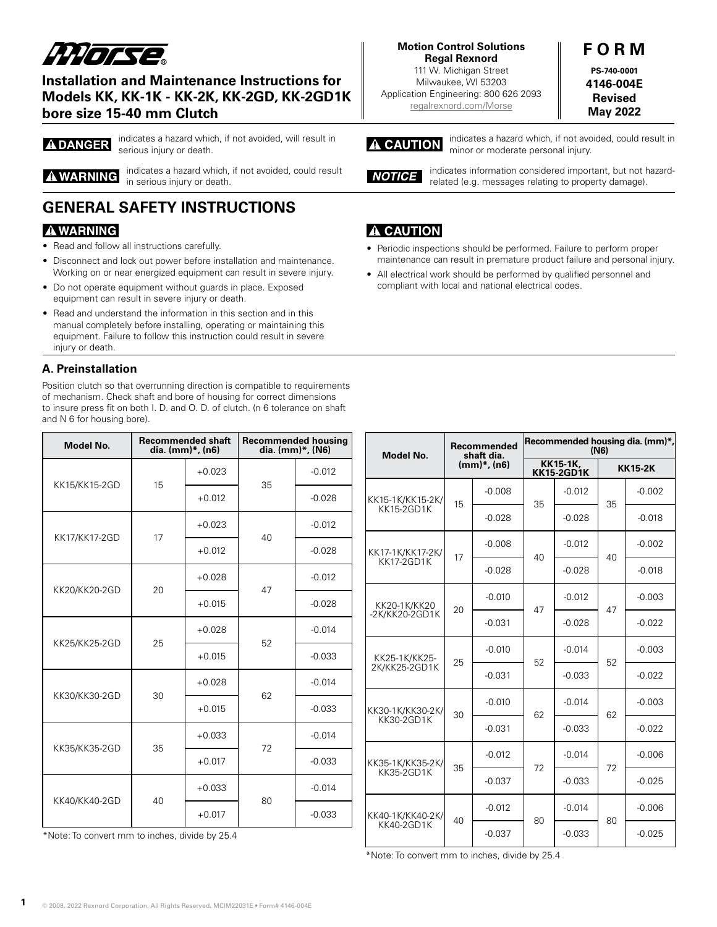# *HHorse*

# **Installation and Maintenance Instructions for Models KK, KK-1K - KK-2K, KK-2GD, KK-2GD1K bore size 15-40 mm Clutch**

**ADANGER** 

indicates a hazard which, if not avoided, will result in serious injury or death.

**A WARNING** 

indicates a hazard which, if not avoided, could result

# **GENERAL SAFETY INSTRUCTIONS**

in serious injury or death.

# **AWARNING**

- Read and follow all instructions carefully.
- Disconnect and lock out power before installation and maintenance. Working on or near energized equipment can result in severe injury.
- Do not operate equipment without guards in place. Exposed equipment can result in severe injury or death.
- Read and understand the information in this section and in this manual completely before installing, operating or maintaining this equipment. Failure to follow this instruction could result in severe injury or death.

# **A. Preinstallation**

Position clutch so that overrunning direction is compatible to requirements of mechanism. Check shaft and bore of housing for correct dimensions to insure press fit on both I. D. and O. D. of clutch. (n 6 tolerance on shaft and N 6 for housing bore).

| Model No.     |    | <b>Recommended shaft</b><br>dia. (mm)*, (n6) | <b>Recommended housing</b><br>dia. (mm)*, (N6) |          |  |
|---------------|----|----------------------------------------------|------------------------------------------------|----------|--|
| KK15/KK15-2GD | 15 | $+0.023$                                     | 35                                             | $-0.012$ |  |
|               |    | $+0.012$                                     |                                                | $-0.028$ |  |
| KK17/KK17-2GD | 17 | $+0.023$                                     | 40                                             | $-0.012$ |  |
|               |    | $+0.012$                                     |                                                | $-0.028$ |  |
| KK20/KK20-2GD | 20 | $+0.028$                                     | 47                                             | $-0.012$ |  |
|               |    | $+0.015$                                     |                                                | $-0.028$ |  |
| KK25/KK25-2GD | 25 | $+0.028$                                     | 52                                             | $-0.014$ |  |
|               |    | $+0.015$                                     |                                                | $-0.033$ |  |
| KK30/KK30-2GD | 30 | $+0.028$                                     | 62                                             | $-0.014$ |  |
|               |    | $+0.015$                                     |                                                | $-0.033$ |  |
| KK35/KK35-2GD | 35 | $+0.033$                                     | 72                                             | $-0.014$ |  |
|               |    | $+0.017$                                     |                                                | $-0.033$ |  |
| KK40/KK40-2GD | 40 | $+0.033$                                     | 80                                             | $-0.014$ |  |
|               |    | $+0.017$                                     |                                                | $-0.033$ |  |

\*Note: To convert mm to inches, divide by 25.4

#### **Motion Control Solutions Regal Rexnord**

111 W. Michigan Street Milwaukee, WI 53203 Application Engineering: 800 626 2093 [regalrexnord.com/M](http://regalrexnord.com/Morse)orse

# **F O R M PS-740-0001 4146-004E Revised**

**May 2022**

#### indicates a hazard which, if not avoided, could result in A CAUTION minor or moderate personal injury.

indicates information considered important, but not hazard-NOTICE related (e.g. messages relating to property damage).

# **A CAUTION**

- Periodic inspections should be performed. Failure to perform proper maintenance can result in premature product failure and personal injury.
- All electrical work should be performed by qualified personnel and compliant with local and national electrical codes.

| <b>Model No.</b>                      | Recommended<br>shaft dia.<br>$(mm)*$ , $(n6)$ |          | Recommended housing dia. (mm)*,<br>(N6) |          |                |          |
|---------------------------------------|-----------------------------------------------|----------|-----------------------------------------|----------|----------------|----------|
|                                       |                                               |          | <b>KK15-1K,</b><br><b>KK15-2GD1K</b>    |          | <b>KK15-2K</b> |          |
| KK15-1K/KK15-2K/<br><b>KK15-2GD1K</b> | 15                                            | $-0.008$ | 35                                      | $-0.012$ | 35             | $-0.002$ |
|                                       |                                               | $-0.028$ |                                         | $-0.028$ |                | $-0.018$ |
| KK17-1K/KK17-2K/<br>KK17-2GD1K        | 17                                            | $-0.008$ | 40                                      | $-0.012$ | 40             | $-0.002$ |
|                                       |                                               | $-0.028$ |                                         | $-0.028$ |                | $-0.018$ |
| KK20-1K/KK20<br>-2K/KK20-2GD1K        | 20                                            | $-0.010$ | 47                                      | $-0.012$ | 47             | $-0.003$ |
|                                       |                                               | $-0.031$ |                                         | $-0.028$ |                | $-0.022$ |
| KK25-1K/KK25-<br>2K/KK25-2GD1K        | 25                                            | $-0.010$ | 52                                      | $-0.014$ | 52             | $-0.003$ |
|                                       |                                               | $-0.031$ |                                         | $-0.033$ |                | $-0.022$ |
| KK30-1K/KK30-2K/<br><b>KK30-2GD1K</b> | 30                                            | $-0.010$ | 62                                      | $-0.014$ | 62             | $-0.003$ |
|                                       |                                               | $-0.031$ |                                         | $-0.033$ |                | $-0.022$ |
| KK35-1K/KK35-2K/<br><b>KK35-2GD1K</b> | 35                                            | $-0.012$ | 72                                      | $-0.014$ | 72             | $-0.006$ |
|                                       |                                               | $-0.037$ |                                         | $-0.033$ |                | $-0.025$ |
| KK40-1K/KK40-2K/<br>KK40-2GD1K        | 40                                            | $-0.012$ | 80                                      | $-0.014$ | 80             | $-0.006$ |
|                                       |                                               | $-0.037$ |                                         | $-0.033$ |                | $-0.025$ |

\*Note: To convert mm to inches, divide by 25.4